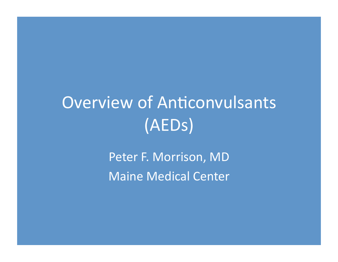# Overview of Anticonvulsants (AEDs)'

Peter F. Morrison, MD Maine Medical Center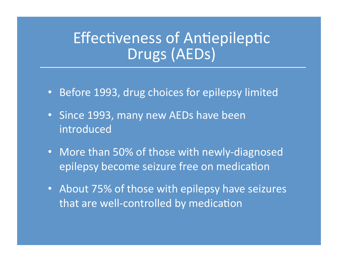#### Effectiveness of Antiepileptic Drugs (AEDs)

- Before 1993, drug choices for epilepsy limited
- Since 1993, many new AEDs have been **introduced**
- More than 50% of those with newly-diagnosed epilepsy become seizure free on medication
- About 75% of those with epilepsy have seizures that are well-controlled by medication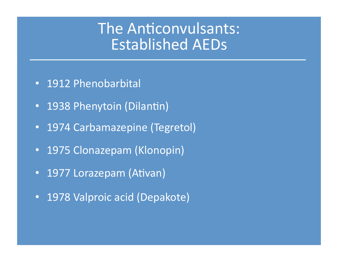#### The Anticonvulsants: Established'AEDs

- 1912 Phenobarbital
- 1938 Phenytoin (Dilantin)
- 1974 Carbamazepine (Tegretol)
- 1975 Clonazepam (Klonopin)
- 1977 Lorazepam (Ativan)
- 1978 Valproic acid (Depakote)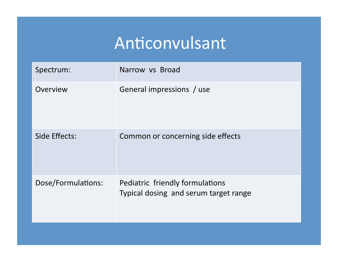## Anticonvulsant

| Spectrum:          | Narrow vs Broad                                                          |
|--------------------|--------------------------------------------------------------------------|
| Overview           | General impressions / use                                                |
| Side Effects:      | Common or concerning side effects                                        |
| Dose/Formulations: | Pediatric friendly formulations<br>Typical dosing and serum target range |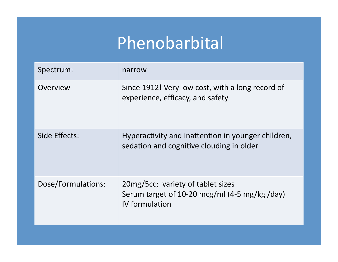## Phenobarbital'

| Spectrum:          | narrow                                                                                                         |
|--------------------|----------------------------------------------------------------------------------------------------------------|
| Overview           | Since 1912! Very low cost, with a long record of<br>experience, efficacy, and safety                           |
| Side Effects:      | Hyperactivity and inattention in younger children,<br>sedation and cognitive clouding in older                 |
| Dose/Formulations: | 20mg/5cc; variety of tablet sizes<br>Serum target of 10-20 mcg/ml $(4-5 \text{ mg/kg /day})$<br>IV formulation |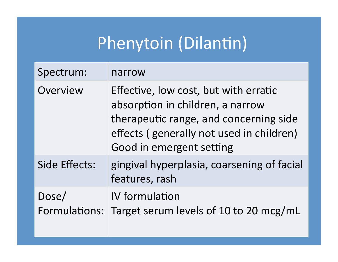## Phenytoin (Dilantin)

| Spectrum:     | narrow                                                                                                                                                                                      |
|---------------|---------------------------------------------------------------------------------------------------------------------------------------------------------------------------------------------|
| Overview      | Effective, low cost, but with erratic<br>absorption in children, a narrow<br>therapeutic range, and concerning side<br>effects (generally not used in children)<br>Good in emergent setting |
| Side Effects: | gingival hyperplasia, coarsening of facial<br>features, rash                                                                                                                                |
| Dose/         | <b>IV</b> formulation<br>Formulations: Target serum levels of 10 to 20 mcg/mL                                                                                                               |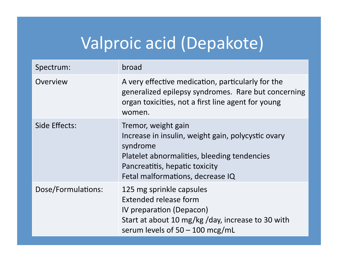## Valproic acid (Depakote)

| Spectrum:          | broad                                                                                                                                                                                                      |
|--------------------|------------------------------------------------------------------------------------------------------------------------------------------------------------------------------------------------------------|
| Overview           | A very effective medication, particularly for the<br>generalized epilepsy syndromes. Rare but concerning<br>organ toxicities, not a first line agent for young<br>women.                                   |
| Side Effects:      | Tremor, weight gain<br>Increase in insulin, weight gain, polycystic ovary<br>syndrome<br>Platelet abnormalities, bleeding tendencies<br>Pancreatitis, hepatic toxicity<br>Fetal malformations, decrease IQ |
| Dose/Formulations: | 125 mg sprinkle capsules<br><b>Extended release form</b><br>IV preparation (Depacon)<br>Start at about 10 mg/kg/day, increase to 30 with<br>serum levels of $50 - 100$ mcg/mL                              |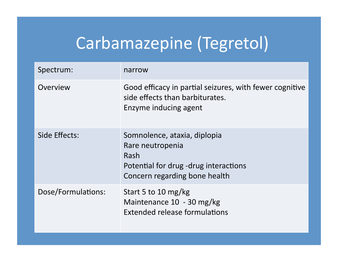## Carbamazepine (Tegretol)

| Spectrum:          | narrow                                                                                                                             |
|--------------------|------------------------------------------------------------------------------------------------------------------------------------|
| Overview           | Good efficacy in partial seizures, with fewer cognitive<br>side effects than barbiturates.<br>Enzyme inducing agent                |
| Side Effects:      | Somnolence, ataxia, diplopia<br>Rare neutropenia<br>Rash<br>Potential for drug -drug interactions<br>Concern regarding bone health |
| Dose/Formulations: | Start 5 to 10 mg/kg<br>Maintenance 10 - 30 mg/kg<br>Extended release formulations                                                  |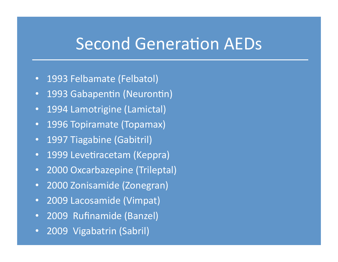#### Second Generation AEDs

- 1993 Felbamate (Felbatol)
- 1993 Gabapentin (Neurontin)
- 1994 Lamotrigine (Lamictal)
- 1996 Topiramate (Topamax)
- 1997 Tiagabine (Gabitril)
- 1999 Levetiracetam (Keppra)
- 2000 Oxcarbazepine (Trileptal)
- **2000 Zonisamide (Zonegran)**
- <sup>2009</sup> Lacosamide (Vimpat)
- 2009 Rufinamide (Banzel)
- 2009 Vigabatrin (Sabril)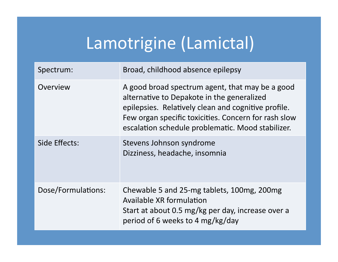## Lamotrigine (Lamictal)

| Spectrum:          | Broad, childhood absence epilepsy                                                                                                                                                                                                                                 |
|--------------------|-------------------------------------------------------------------------------------------------------------------------------------------------------------------------------------------------------------------------------------------------------------------|
| Overview           | A good broad spectrum agent, that may be a good<br>alternative to Depakote in the generalized<br>epilepsies. Relatively clean and cognitive profile.<br>Few organ specific toxicities. Concern for rash slow<br>escalation schedule problematic. Mood stabilizer. |
| Side Effects:      | Stevens Johnson syndrome<br>Dizziness, headache, insomnia                                                                                                                                                                                                         |
| Dose/Formulations: | Chewable 5 and 25-mg tablets, 100mg, 200mg<br><b>Available XR formulation</b><br>Start at about 0.5 mg/kg per day, increase over a<br>period of 6 weeks to 4 mg/kg/day                                                                                            |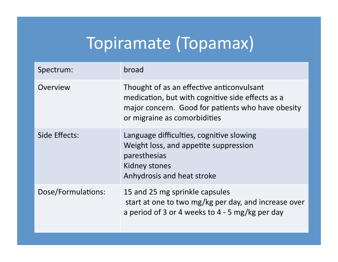## Topiramate (Topamax)

| Spectrum:          | broad                                                                                                                                                                              |
|--------------------|------------------------------------------------------------------------------------------------------------------------------------------------------------------------------------|
| Overview           | Thought of as an effective anticonvulsant<br>medication, but with cognitive side effects as a<br>major concern. Good for patients who have obesity<br>or migraine as comorbidities |
| Side Effects:      | Language difficulties, cognitive slowing<br>Weight loss, and appetite suppression<br>paresthesias<br><b>Kidney stones</b><br>Anhydrosis and heat stroke                            |
| Dose/Formulations: | 15 and 25 mg sprinkle capsules<br>start at one to two mg/kg per day, and increase over<br>a period of 3 or 4 weeks to 4 - 5 mg/kg per day                                          |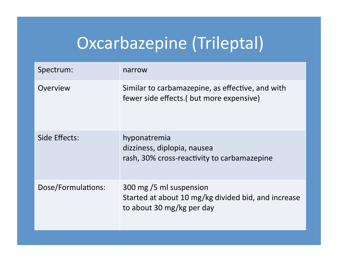## Oxcarbazepine (Trileptal)

| Spectrum:          | narrow                                                                                                      |
|--------------------|-------------------------------------------------------------------------------------------------------------|
| Overview           | Similar to carbamazepine, as effective, and with<br>fewer side effects. (but more expensive)                |
| Side Effects:      | hyponatremia<br>dizziness, diplopia, nausea<br>rash, 30% cross-reactivity to carbamazepine                  |
| Dose/Formulations: | 300 mg /5 ml suspension<br>Started at about 10 mg/kg divided bid, and increase<br>to about 30 mg/kg per day |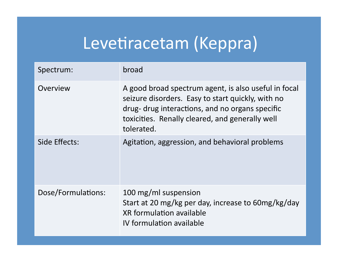#### Levetiracetam (Keppra)

| Spectrum:          | broad                                                                                                                                                                                                                         |
|--------------------|-------------------------------------------------------------------------------------------------------------------------------------------------------------------------------------------------------------------------------|
| Overview           | A good broad spectrum agent, is also useful in focal<br>seizure disorders. Easy to start quickly, with no<br>drug- drug interactions, and no organs specific<br>toxicities. Renally cleared, and generally well<br>tolerated. |
| Side Effects:      | Agitation, aggression, and behavioral problems                                                                                                                                                                                |
| Dose/Formulations: | 100 mg/ml suspension<br>Start at 20 mg/kg per day, increase to 60mg/kg/day<br><b>XR</b> formulation available<br>IV formulation available                                                                                     |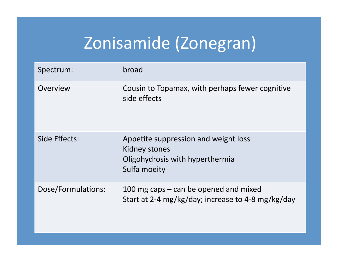## Zonisamide (Zonegran)

| Spectrum:          | broad                                                                                                    |
|--------------------|----------------------------------------------------------------------------------------------------------|
| Overview           | Cousin to Topamax, with perhaps fewer cognitive<br>side effects                                          |
| Side Effects:      | Appetite suppression and weight loss<br>Kidney stones<br>Oligohydrosis with hyperthermia<br>Sulfa moeity |
| Dose/Formulations: | 100 mg caps $-$ can be opened and mixed<br>Start at 2-4 mg/kg/day; increase to 4-8 mg/kg/day             |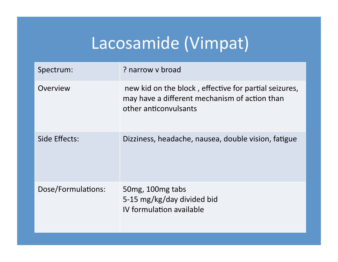## Lacosamide (Vimpat)

| Spectrum:          | ? narrow v broad                                                                                                                |
|--------------------|---------------------------------------------------------------------------------------------------------------------------------|
| Overview           | new kid on the block, effective for partial seizures,<br>may have a different mechanism of action than<br>other anticonvulsants |
| Side Effects:      | Dizziness, headache, nausea, double vision, fatigue                                                                             |
| Dose/Formulations: | 50mg, 100mg tabs<br>5-15 mg/kg/day divided bid<br>IV formulation available                                                      |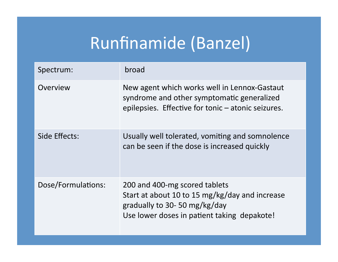## Runfinamide (Banzel)

| Spectrum:          | broad                                                                                                                                                          |
|--------------------|----------------------------------------------------------------------------------------------------------------------------------------------------------------|
| Overview           | New agent which works well in Lennox-Gastaut<br>syndrome and other symptomatic generalized<br>epilepsies. Effective for tonic – atonic seizures.               |
| Side Effects:      | Usually well tolerated, vomiting and somnolence<br>can be seen if the dose is increased quickly                                                                |
| Dose/Formulations: | 200 and 400-mg scored tablets<br>Start at about 10 to 15 mg/kg/day and increase<br>gradually to 30-50 mg/kg/day<br>Use lower doses in patient taking depakote! |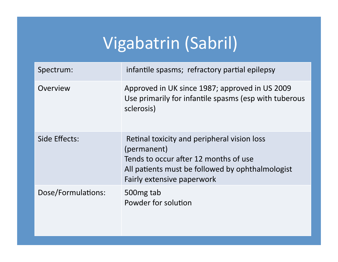## Vigabatrin (Sabril)

| Spectrum:          | infantile spasms; refractory partial epilepsy                                                                                                                                         |
|--------------------|---------------------------------------------------------------------------------------------------------------------------------------------------------------------------------------|
| Overview           | Approved in UK since 1987; approved in US 2009<br>Use primarily for infantile spasms (esp with tuberous<br>sclerosis)                                                                 |
| Side Effects:      | Retinal toxicity and peripheral vision loss<br>(permanent)<br>Tends to occur after 12 months of use<br>All patients must be followed by ophthalmologist<br>Fairly extensive paperwork |
| Dose/Formulations: | 500 mg tab<br>Powder for solution                                                                                                                                                     |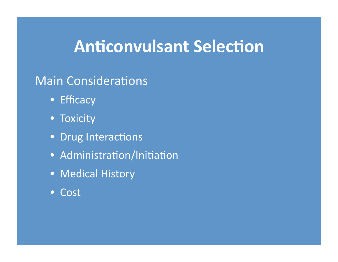#### **Anticonvulsant Selection**

#### Main Considerations

- Efficacy'
- Toxicity
- Drug Interactions
- Administration/Initiation
- Medical History
- Cost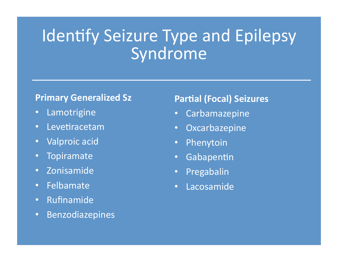#### Identify Seizure Type and Epilepsy Syndrome

#### **Primary Generalized Sz**

- Lamotrigine'
- Levetiracetam
- Valproic acid
- Topiramate'
- Zonisamide'
- Felbamate'
- Rufinamide'
- Benzodiazepines'

#### **Partial (Focal) Seizures**

- **Carbamazepine**
- Oxcarbazepine'
- Phenytoin
- Gabapentin
- Pregabalin'
- Lacosamide'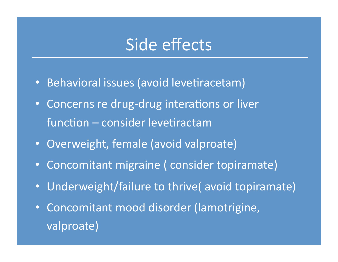#### Side effects

- Behavioral issues (avoid levetiracetam)
- Concerns re drug-drug interations or liver  $function - consider levetiractam$
- Overweight, female (avoid valproate)
- Concomitant migraine ( consider topiramate)
- Underweight/failure to thrive( avoid topiramate)
- Concomitant mood disorder (lamotrigine, valproate)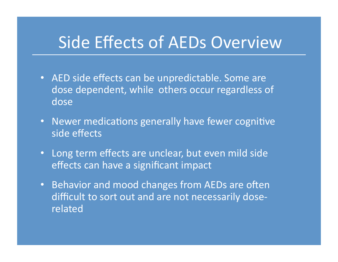#### Side Effects of AEDs Overview

- AED side effects can be unpredictable. Some are dose dependent, while others occur regardless of dose'
- Newer medications generally have fewer cognitive side effects
- Long term effects are unclear, but even mild side effects can have a significant impact
- Behavior and mood changes from AEDs are often difficult to sort out and are not necessarily doserelated'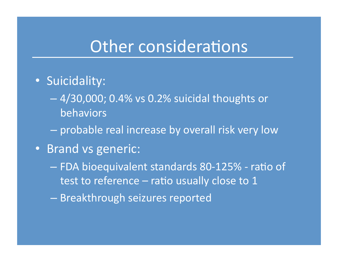#### Other considerations

- Suicidality:
	- $-4/30,000$ ; 0.4% vs 0.2% suicidal thoughts or behaviors'
	- probable real increase by overall risk very low
- Brand vs generic:
	- FDA bioequivalent standards 80-125% ratio of test to reference – ratio usually close to 1
	- Breakthrough seizures reported